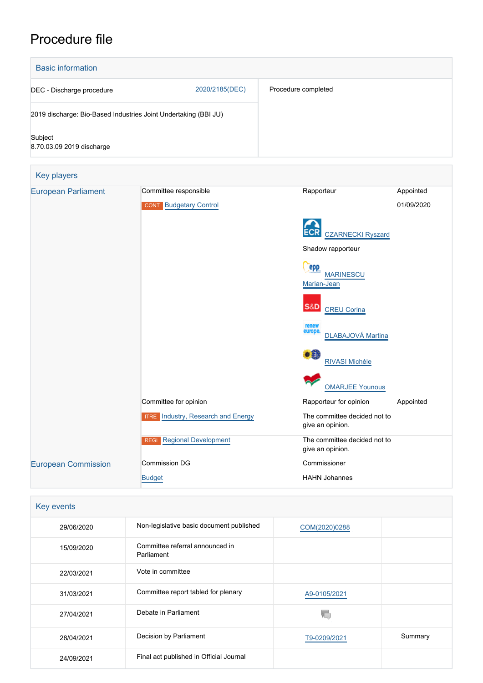# Procedure file



|                            |                                           | <b>RIVASI Michèle</b>                            |  |
|----------------------------|-------------------------------------------|--------------------------------------------------|--|
|                            |                                           | <b>OMARJEE Younous</b>                           |  |
|                            | Committee for opinion                     | Rapporteur for opinion<br>Appointed              |  |
|                            | <b>ITRE</b> Industry, Research and Energy | The committee decided not to<br>give an opinion. |  |
|                            | <b>REGI</b> Regional Development          | The committee decided not to<br>give an opinion. |  |
| <b>European Commission</b> | <b>Commission DG</b>                      | Commissioner                                     |  |
|                            | <b>Budget</b>                             | <b>HAHN Johannes</b>                             |  |

| Key events |                                               |               |         |
|------------|-----------------------------------------------|---------------|---------|
| 29/06/2020 | Non-legislative basic document published      | COM(2020)0288 |         |
| 15/09/2020 | Committee referral announced in<br>Parliament |               |         |
| 22/03/2021 | Vote in committee                             |               |         |
| 31/03/2021 | Committee report tabled for plenary           | A9-0105/2021  |         |
| 27/04/2021 | Debate in Parliament                          |               |         |
| 28/04/2021 | Decision by Parliament                        | T9-0209/2021  | Summary |
| 24/09/2021 | Final act published in Official Journal       |               |         |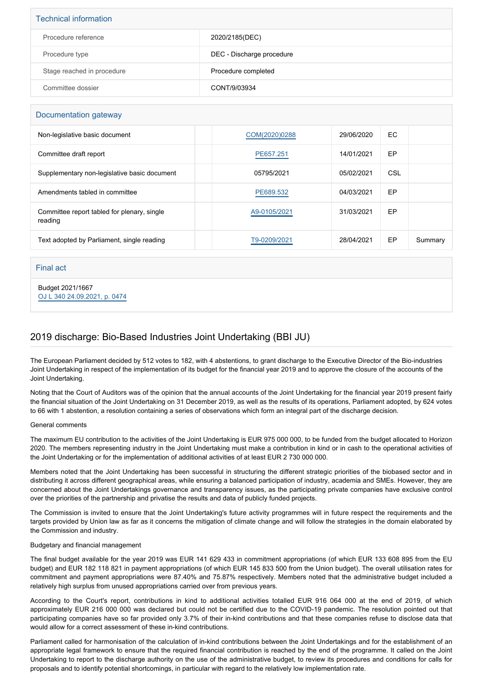| <b>Technical information</b> |                           |  |  |  |
|------------------------------|---------------------------|--|--|--|
| Procedure reference          | 2020/2185(DEC)            |  |  |  |
| Procedure type               | DEC - Discharge procedure |  |  |  |
| Stage reached in procedure   | Procedure completed       |  |  |  |
| Committee dossier            | CONT/9/03934              |  |  |  |

## Documentation gateway

| Non-legislative basic document                         | COM(2020)0288 | 29/06/2020 | EC. |         |
|--------------------------------------------------------|---------------|------------|-----|---------|
| Committee draft report                                 | PE657.251     | 14/01/2021 | EP  |         |
| Supplementary non-legislative basic document           | 05795/2021    | 05/02/2021 | CSL |         |
| Amendments tabled in committee                         | PE689.532     | 04/03/2021 | EP  |         |
| Committee report tabled for plenary, single<br>reading | A9-0105/2021  | 31/03/2021 | EP  |         |
| Text adopted by Parliament, single reading             | T9-0209/2021  | 28/04/2021 | EP  | Summary |

### Final act

Budget 2021/1667 [OJ L 340 24.09.2021, p. 0474](https://eur-lex.europa.eu/legal-content/EN/TXT/?uri=OJ:L:2021:340:TOC)

# 2019 discharge: Bio-Based Industries Joint Undertaking (BBI JU)

The European Parliament decided by 512 votes to 182, with 4 abstentions, to grant discharge to the Executive Director of the Bio-industries Joint Undertaking in respect of the implementation of its budget for the financial year 2019 and to approve the closure of the accounts of the Joint Undertaking.

Noting that the Court of Auditors was of the opinion that the annual accounts of the Joint Undertaking for the financial year 2019 present fairly the financial situation of the Joint Undertaking on 31 December 2019, as well as the results of its operations, Parliament adopted, by 624 votes to 66 with 1 abstention, a resolution containing a series of observations which form an integral part of the discharge decision.

### General comments

The maximum EU contribution to the activities of the Joint Undertaking is EUR 975 000 000, to be funded from the budget allocated to Horizon 2020. The members representing industry in the Joint Undertaking must make a contribution in kind or in cash to the operational activities of the Joint Undertaking or for the implementation of additional activities of at least EUR 2 730 000 000.

Members noted that the Joint Undertaking has been successful in structuring the different strategic priorities of the biobased sector and in distributing it across different geographical areas, while ensuring a balanced participation of industry, academia and SMEs. However, they are concerned about the Joint Undertakings governance and transparency issues, as the participating private companies have exclusive control over the priorities of the partnership and privatise the results and data of publicly funded projects.

The Commission is invited to ensure that the Joint Undertaking's future activity programmes will in future respect the requirements and the targets provided by Union law as far as it concerns the mitigation of climate change and will follow the strategies in the domain elaborated by the Commission and industry.

### Budgetary and financial management

The final budget available for the year 2019 was EUR 141 629 433 in commitment appropriations (of which EUR 133 608 895 from the EU budget) and EUR 182 118 821 in payment appropriations (of which EUR 145 833 500 from the Union budget). The overall utilisation rates for commitment and payment appropriations were 87.40% and 75.87% respectively. Members noted that the administrative budget included a relatively high surplus from unused appropriations carried over from previous years.

According to the Court's report, contributions in kind to additional activities totalled EUR 916 064 000 at the end of 2019, of which approximately EUR 216 000 000 was declared but could not be certified due to the COVID-19 pandemic. The resolution pointed out that participating companies have so far provided only 3.7% of their in-kind contributions and that these companies refuse to disclose data that would allow for a correct assessment of these in-kind contributions.

Parliament called for harmonisation of the calculation of in-kind contributions between the Joint Undertakings and for the establishment of an appropriate legal framework to ensure that the required financial contribution is reached by the end of the programme. It called on the Joint Undertaking to report to the discharge authority on the use of the administrative budget, to review its procedures and conditions for calls for proposals and to identify potential shortcomings, in particular with regard to the relatively low implementation rate.